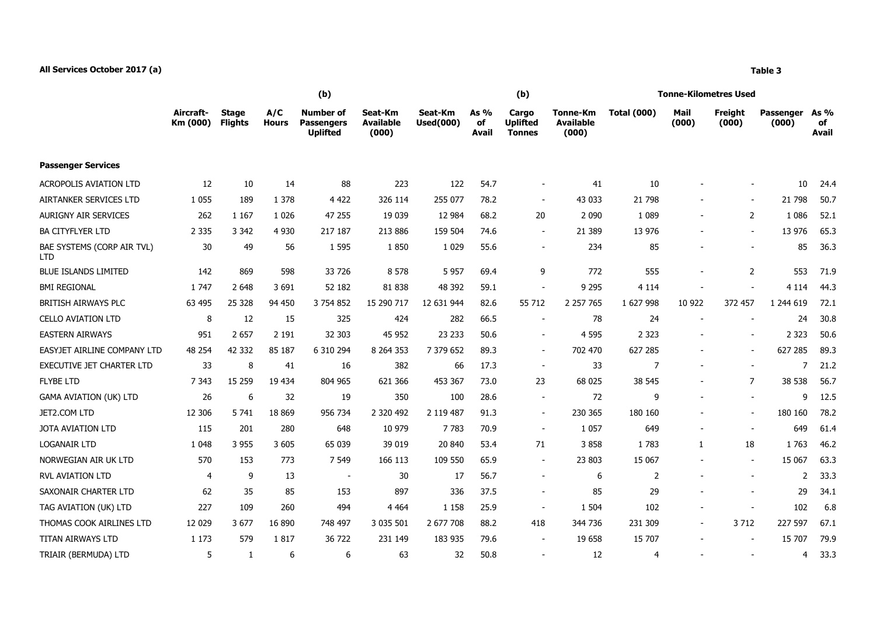## **All Services October 2017 (a) Table 3**

|                                          |                       |                                |                     | (b)                                                      |                                      |                             |                       | (b)                                       |                                       | <b>Tonne-Kilometres Used</b> |                          |                          |                           |                     |
|------------------------------------------|-----------------------|--------------------------------|---------------------|----------------------------------------------------------|--------------------------------------|-----------------------------|-----------------------|-------------------------------------------|---------------------------------------|------------------------------|--------------------------|--------------------------|---------------------------|---------------------|
|                                          | Aircraft-<br>Km (000) | <b>Stage</b><br><b>Flights</b> | A/C<br><b>Hours</b> | <b>Number of</b><br><b>Passengers</b><br><b>Uplifted</b> | Seat-Km<br><b>Available</b><br>(000) | Seat-Km<br><b>Used(000)</b> | As $%$<br>of<br>Avail | Cargo<br><b>Uplifted</b><br><b>Tonnes</b> | Tonne-Km<br><b>Available</b><br>(000) | <b>Total (000)</b>           | Mail<br>(000)            | Freight<br>(000)         | <b>Passenger</b><br>(000) | As %<br>of<br>Avail |
| <b>Passenger Services</b>                |                       |                                |                     |                                                          |                                      |                             |                       |                                           |                                       |                              |                          |                          |                           |                     |
| <b>ACROPOLIS AVIATION LTD</b>            | 12                    | 10                             | 14                  | 88                                                       | 223                                  | 122                         | 54.7                  | $\overline{\phantom{a}}$                  | 41                                    | 10                           |                          |                          | 10                        | 24.4                |
| AIRTANKER SERVICES LTD                   | 1 0 5 5               | 189                            | 1 3 7 8             | 4 4 2 2                                                  | 326 114                              | 255 077                     | 78.2                  | $\overline{\phantom{a}}$                  | 43 033                                | 21 798                       |                          |                          | 21 798                    | 50.7                |
| AURIGNY AIR SERVICES                     | 262                   | 1 1 6 7                        | 1 0 2 6             | 47 255                                                   | 19 039                               | 12 9 84                     | 68.2                  | 20                                        | 2 0 9 0                               | 1 0 8 9                      | $\blacksquare$           | $\overline{2}$           | 1 0 8 6                   | 52.1                |
| <b>BA CITYFLYER LTD</b>                  | 2 3 3 5               | 3 3 4 2                        | 4 9 3 0             | 217 187                                                  | 213 886                              | 159 504                     | 74.6                  | $\sim$                                    | 21 389                                | 13 976                       | $\overline{\phantom{a}}$ | $\blacksquare$           | 13 976                    | 65.3                |
| BAE SYSTEMS (CORP AIR TVL)<br><b>LTD</b> | 30                    | 49                             | 56                  | 1 5 9 5                                                  | 1850                                 | 1 0 2 9                     | 55.6                  | $\blacksquare$                            | 234                                   | 85                           |                          | $\overline{\phantom{a}}$ | 85                        | 36.3                |
| <b>BLUE ISLANDS LIMITED</b>              | 142                   | 869                            | 598                 | 33 7 26                                                  | 8 5 7 8                              | 5 9 5 7                     | 69.4                  | 9                                         | 772                                   | 555                          | $\blacksquare$           | $\overline{2}$           | 553                       | 71.9                |
| <b>BMI REGIONAL</b>                      | 1 7 4 7               | 2 6 4 8                        | 3 6 9 1             | 52 182                                                   | 81 838                               | 48 392                      | 59.1                  | $\blacksquare$                            | 9 2 9 5                               | 4 1 1 4                      |                          |                          | 4 1 1 4                   | 44.3                |
| BRITISH AIRWAYS PLC                      | 63 495                | 25 3 28                        | 94 450              | 3 7 5 4 8 5 2                                            | 15 290 717                           | 12 631 944                  | 82.6                  | 55 712                                    | 2 2 5 7 7 6 5                         | 1 627 998                    | 10 922                   | 372 457                  | 1 244 619                 | 72.1                |
| <b>CELLO AVIATION LTD</b>                | 8                     | 12                             | 15                  | 325                                                      | 424                                  | 282                         | 66.5                  | $\sim$                                    | 78                                    | 24                           |                          |                          | 24                        | 30.8                |
| <b>EASTERN AIRWAYS</b>                   | 951                   | 2 6 5 7                        | 2 1 9 1             | 32 303                                                   | 45 952                               | 23 233                      | 50.6                  | $\blacksquare$                            | 4 5 9 5                               | 2 3 2 3                      |                          |                          | 2 3 2 3                   | 50.6                |
| EASYJET AIRLINE COMPANY LTD              | 48 254                | 42 3 32                        | 85 187              | 6 310 294                                                | 8 2 6 4 3 5 3                        | 7 379 652                   | 89.3                  | $\blacksquare$                            | 702 470                               | 627 285                      |                          | $\sim$                   | 627 285                   | 89.3                |
| <b>EXECUTIVE JET CHARTER LTD</b>         | 33                    | 8                              | 41                  | 16                                                       | 382                                  | 66                          | 17.3                  | $\sim$                                    | 33                                    | $\overline{7}$               | $\sim$                   | $\blacksquare$           | $\overline{7}$            | 21.2                |
| <b>FLYBE LTD</b>                         | 7 3 4 3               | 15 2 5 9                       | 19 434              | 804 965                                                  | 621 366                              | 453 367                     | 73.0                  | 23                                        | 68 025                                | 38 545                       |                          | $\overline{7}$           | 38 538                    | 56.7                |
| <b>GAMA AVIATION (UK) LTD</b>            | 26                    | 6                              | 32                  | 19                                                       | 350                                  | 100                         | 28.6                  | $\sim$                                    | 72                                    | 9                            | $\blacksquare$           | $\blacksquare$           | 9                         | 12.5                |
| JET2.COM LTD                             | 12 30 6               | 5 7 4 1                        | 18 8 6 9            | 956 734                                                  | 2 320 492                            | 2 119 487                   | 91.3                  | $\sim$                                    | 230 365                               | 180 160                      |                          | $\sim$                   | 180 160                   | 78.2                |
| JOTA AVIATION LTD                        | 115                   | 201                            | 280                 | 648                                                      | 10 979                               | 7783                        | 70.9                  | $\overline{\phantom{a}}$                  | 1 0 5 7                               | 649                          | $\overline{\phantom{a}}$ | $\blacksquare$           | 649                       | 61.4                |
| <b>LOGANAIR LTD</b>                      | 1 0 4 8               | 3 9 5 5                        | 3 6 0 5             | 65 039                                                   | 39 019                               | 20 840                      | 53.4                  | 71                                        | 3858                                  | 1783                         | $\mathbf{1}$             | 18                       | 1763                      | 46.2                |
| NORWEGIAN AIR UK LTD                     | 570                   | 153                            | 773                 | 7 5 4 9                                                  | 166 113                              | 109 550                     | 65.9                  | $\sim$                                    | 23 803                                | 15 067                       | $\sim$                   | $\sim$                   | 15 067                    | 63.3                |
| <b>RVL AVIATION LTD</b>                  | $\overline{4}$        | 9                              | 13                  | $\sim$                                                   | 30                                   | 17                          | 56.7                  | $\blacksquare$                            | 6                                     | 2                            |                          |                          | 2                         | 33.3                |
| SAXONAIR CHARTER LTD                     | 62                    | 35                             | 85                  | 153                                                      | 897                                  | 336                         | 37.5                  | $\blacksquare$                            | 85                                    | 29                           |                          |                          | 29                        | 34.1                |
| TAG AVIATION (UK) LTD                    | 227                   | 109                            | 260                 | 494                                                      | 4 4 6 4                              | 1 1 5 8                     | 25.9                  | $\sim$                                    | 1 5 0 4                               | 102                          | $\blacksquare$           |                          | 102                       | 6.8                 |
| THOMAS COOK AIRLINES LTD                 | 12 0 29               | 3677                           | 16 890              | 748 497                                                  | 3 035 501                            | 2 677 708                   | 88.2                  | 418                                       | 344 736                               | 231 309                      | $\blacksquare$           | 3 7 1 2                  | 227 597                   | 67.1                |
| TITAN AIRWAYS LTD                        | 1 1 7 3               | 579                            | 1817                | 36 722                                                   | 231 149                              | 183 935                     | 79.6                  | $\overline{\phantom{a}}$                  | 19 658                                | 15 707                       |                          |                          | 15 707                    | 79.9                |
| TRIAIR (BERMUDA) LTD                     | 5                     | 1                              | 6                   | 6                                                        | 63                                   | 32                          | 50.8                  |                                           | 12                                    | 4                            |                          |                          | 4                         | 33.3                |